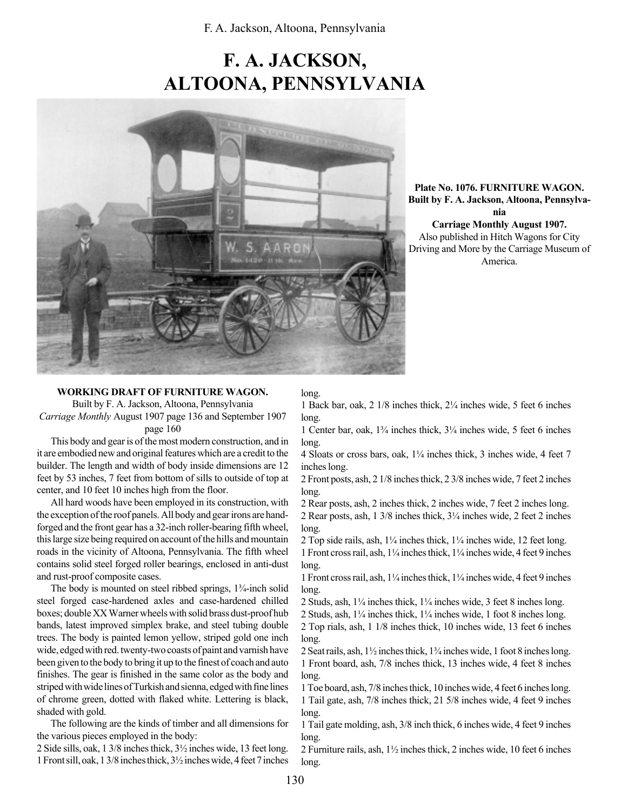# F. A. JACKSON, ALTOONA, PENNSYLVANIA



Plate No. 1076. FURNITURE WAGON. Built by F. A. Jackson, Altoona, Pennsylvania Carriage Monthly August 1907. Also published in Hitch Wagons for City Driving and More by the Carriage Museum of America.

#### WORKING DRAFT OF FURNITURE WAGON.

Built by F. A. Jackson, Altoona, Pennsylvania Carriage Monthly August 1907 page 136 and September 1907 page 160

This body and gear is of the most modern construction, and in it are embodied new and original features which are a credit to the builder. The length and width of body inside dimensions are 12 feet by 53 inches, 7 feet from bottom of sills to outside of top at center, and 10 feet 10 inches high from the floor.

All hard woods have been employed in its construction, with the exception of the roof panels. All body and gear irons are handforged and the front gear has a 32-inch roller-bearing fifth wheel, this large size being required on account of the hills and mountain roads in the vicinity of Altoona, Pennsylvania. The fifth wheel contains solid steel forged roller bearings, enclosed in anti-dust and rust-proof composite cases.

The body is mounted on steel ribbed springs,  $1\frac{3}{4}$ -inch solid steel forged case-hardened axles and case-hardened chilled boxes; double XX Warner wheels with solid brass dust-proof hub bands, latest improved simplex brake, and steel tubing double trees. The body is painted lemon yellow, striped gold one inch wide, edged with red. twenty-two coasts of paint and varnish have been given to the body to bring it up to the finest of coach and auto finishes. The gear is finished in the same color as the body and striped with wide lines of Turkish and sienna, edged with fine lines of chrome green, dotted with flaked white. Lettering is black, shaded with gold.

The following are the kinds of timber and all dimensions for the various pieces employed in the body:

2 Side sills, oak, 1 3/8 inches thick, 3½ inches wide, 13 feet long. 1 Front sill, oak, 1 3/8 inches thick, 3½ inches wide, 4 feet 7 inches

#### long.

1 Back bar, oak,  $2 \frac{1}{8}$  inches thick,  $\frac{2\frac{1}{4}}{2}$  inches wide, 5 feet 6 inches long.

1 Center bar, oak,  $1\frac{3}{4}$  inches thick,  $3\frac{1}{4}$  inches wide, 5 feet 6 inches long.

4 Sloats or cross bars, oak,  $1/4$  inches thick, 3 inches wide, 4 feet 7 inches long.

2 Front posts, ash, 2 1/8 inches thick, 2 3/8 inches wide, 7 feet 2 inches long.

2 Rear posts, ash, 2 inches thick, 2 inches wide, 7 feet 2 inches long. 2 Rear posts, ash, 1 3/8 inches thick,  $3\frac{1}{4}$  inches wide, 2 feet 2 inches long.

2 Top side rails, ash,  $1\frac{1}{4}$  inches thick,  $1\frac{1}{4}$  inches wide, 12 feet long. 1 Front cross rail, ash, 1¼ inches thick, 1¼ inches wide, 4 feet 9 inches long.

1 Front cross rail, ash,  $1\frac{1}{4}$  inches thick,  $1\frac{1}{4}$  inches wide, 4 feet 9 inches long.

2 Studs, ash,  $1\frac{1}{4}$  inches thick,  $1\frac{1}{4}$  inches wide, 3 feet 8 inches long. 2 Studs, ash, 1¼ inches thick, 1¼ inches wide, 1 foot 8 inches long.

2 Top rials, ash, 1 1/8 inches thick, 10 inches wide, 13 feet 6 inches long.

2 Seat rails, ash,  $1\frac{1}{2}$  inches thick,  $1\frac{3}{4}$  inches wide, 1 foot 8 inches long. 1 Front board, ash, 7/8 inches thick, 13 inches wide, 4 feet 8 inches long.

1 Toe board, ash, 7/8 inches thick, 10 inches wide, 4 feet 6 inches long. 1 Tail gate, ash, 7/8 inches thick, 21 5/8 inches wide, 4 feet 9 inches long.

1 Tail gate molding, ash, 3/8 inch thick, 6 inches wide, 4 feet 9 inches long.

2 Furniture rails, ash, 1½ inches thick, 2 inches wide, 10 feet 6 inches long.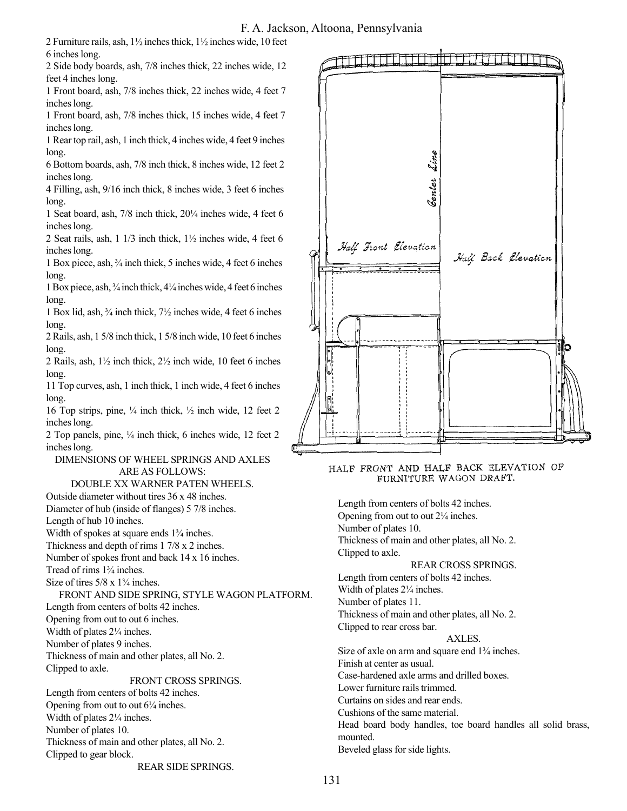## F. A. Jackson, Altoona, Pennsylvania

2 Furniture rails, ash, 1½ inches thick, 1½ inches wide, 10 feet 6 inches long.

2 Side body boards, ash, 7/8 inches thick, 22 inches wide, 12 feet 4 inches long.

1 Front board, ash, 7/8 inches thick, 22 inches wide, 4 feet 7 inches long.

1 Front board, ash, 7/8 inches thick, 15 inches wide, 4 feet 7 inches long.

1 Rear top rail, ash, 1 inch thick, 4 inches wide, 4 feet 9 inches long.

6 Bottom boards, ash, 7/8 inch thick, 8 inches wide, 12 feet 2 inches long.

4 Filling, ash, 9/16 inch thick, 8 inches wide, 3 feet 6 inches long.

1 Seat board, ash,  $7/8$  inch thick,  $20\frac{1}{4}$  inches wide, 4 feet 6 inches long.

2 Seat rails, ash, 1 1/3 inch thick, 1½ inches wide, 4 feet 6 inches long.

1 Box piece, ash,  $\frac{3}{4}$  inch thick, 5 inches wide, 4 feet 6 inches long.

1 Box piece, ash,  $\frac{3}{4}$  inch thick,  $\frac{4}{4}$  inches wide, 4 feet 6 inches long.

1 Box lid, ash,  $\frac{3}{4}$  inch thick,  $7\frac{1}{2}$  inches wide, 4 feet 6 inches long.

2 Rails, ash, 1 5/8 inch thick, 1 5/8 inch wide, 10 feet 6 inches long.

2 Rails, ash,  $1\frac{1}{2}$  inch thick,  $2\frac{1}{2}$  inch wide, 10 feet 6 inches long.

11 Top curves, ash, 1 inch thick, 1 inch wide, 4 feet 6 inches long.

16 Top strips, pine,  $\frac{1}{4}$  inch thick,  $\frac{1}{2}$  inch wide, 12 feet 2 inches long.

2 Top panels, pine,  $\frac{1}{4}$  inch thick, 6 inches wide, 12 feet 2 inches long.

### DIMENSIONS OF WHEEL SPRINGS AND AXLES ARE AS FOLLOWS:

# DOUBLE XX WARNER PATEN WHEELS.

Outside diameter without tires 36 x 48 inches.

Diameter of hub (inside of flanges) 5 7/8 inches.

Length of hub 10 inches.

Width of spokes at square ends  $1\frac{3}{4}$  inches.

Thickness and depth of rims 1 7/8 x 2 inches.

Number of spokes front and back 14 x 16 inches.

Tread of rims  $1\frac{3}{4}$  inches.

Size of tires  $5/8 \times 1\frac{3}{4}$  inches.

FRONT AND SIDE SPRING, STYLE WAGON PLATFORM.

Length from centers of bolts 42 inches.

Opening from out to out 6 inches.

Width of plates  $2\frac{1}{4}$  inches.

Number of plates 9 inches. Thickness of main and other plates, all No. 2. Clipped to axle.

#### FRONT CROSS SPRINGS.

Length from centers of bolts 42 inches. Opening from out to out  $6\frac{1}{4}$  inches. Width of plates  $2\frac{1}{4}$  inches. Number of plates 10. Thickness of main and other plates, all No. 2. Clipped to gear block.





HALF FRONT AND HALF BACK ELEVATION OF FURNITURE WAGON DRAFT.

Length from centers of bolts 42 inches. Opening from out to out  $2\frac{1}{4}$  inches. Number of plates 10. Thickness of main and other plates, all No. 2. Clipped to axle. REAR CROSS SPRINGS. Length from centers of bolts 42 inches. Width of plates  $2\frac{1}{4}$  inches. Number of plates 11. Thickness of main and other plates, all No. 2. Clipped to rear cross bar. AXLES. Size of axle on arm and square end  $1\frac{3}{4}$  inches. Finish at center as usual.

Case-hardened axle arms and drilled boxes.

Lower furniture rails trimmed.

Curtains on sides and rear ends.

Cushions of the same material.

Head board body handles, toe board handles all solid brass, mounted.

Beveled glass for side lights.